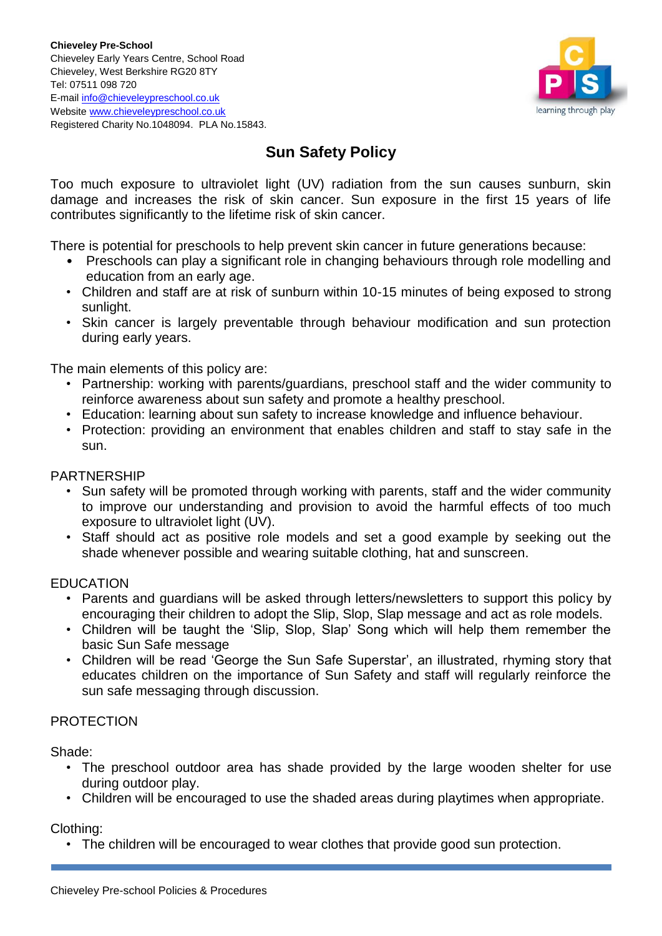

# **Sun Safety Policy**

Too much exposure to ultraviolet light (UV) radiation from the sun causes sunburn, skin damage and increases the risk of skin cancer. Sun exposure in the first 15 years of life contributes significantly to the lifetime risk of skin cancer.

There is potential for preschools to help prevent skin cancer in future generations because:

- Preschools can play a significant role in changing behaviours through role modelling and education from an early age.
- Children and staff are at risk of sunburn within 10-15 minutes of being exposed to strong sunlight.
- Skin cancer is largely preventable through behaviour modification and sun protection during early years.

The main elements of this policy are:

- Partnership: working with parents/guardians, preschool staff and the wider community to reinforce awareness about sun safety and promote a healthy preschool.
- Education: learning about sun safety to increase knowledge and influence behaviour.
- Protection: providing an environment that enables children and staff to stay safe in the sun.

#### PARTNERSHIP

- Sun safety will be promoted through working with parents, staff and the wider community to improve our understanding and provision to avoid the harmful effects of too much exposure to ultraviolet light (UV).
- Staff should act as positive role models and set a good example by seeking out the shade whenever possible and wearing suitable clothing, hat and sunscreen.

## **EDUCATION**

- Parents and guardians will be asked through letters/newsletters to support this policy by encouraging their children to adopt the Slip, Slop, Slap message and act as role models.
- Children will be taught the 'Slip, Slop, Slap' Song which will help them remember the basic Sun Safe message
- Children will be read 'George the Sun Safe Superstar', an illustrated, rhyming story that educates children on the importance of Sun Safety and staff will regularly reinforce the sun safe messaging through discussion.

## PROTECTION

Shade:

- The preschool outdoor area has shade provided by the large wooden shelter for use during outdoor play.
- Children will be encouraged to use the shaded areas during playtimes when appropriate.

Clothing:

• The children will be encouraged to wear clothes that provide good sun protection.